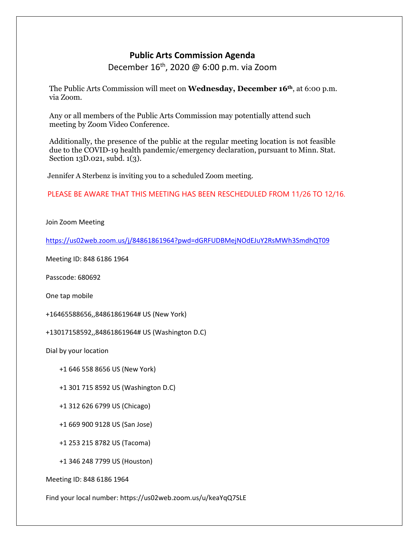# **Public Arts Commission Agenda**

December 16<sup>th</sup>, 2020 @ 6:00 p.m. via Zoom

The Public Arts Commission will meet on **Wednesday, December 16th**, at 6:00 p.m. via Zoom.

Any or all members of the Public Arts Commission may potentially attend such meeting by Zoom Video Conference.

Additionally, the presence of the public at the regular meeting location is not feasible due to the COVID-19 health pandemic/emergency declaration, pursuant to Minn. Stat. Section 13D.021, subd. 1(3).

Jennifer A Sterbenz is inviting you to a scheduled Zoom meeting.

PLEASE BE AWARE THAT THIS MEETING HAS BEEN RESCHEDULED FROM 11/26 TO 12/16.

Join Zoom Meeting

<https://us02web.zoom.us/j/84861861964?pwd=dGRFUDBMejNOdEJuY2RsMWh3SmdhQT09>

Meeting ID: 848 6186 1964

Passcode: 680692

One tap mobile

+16465588656,,84861861964# US (New York)

+13017158592,,84861861964# US (Washington D.C)

Dial by your location

+1 646 558 8656 US (New York)

+1 301 715 8592 US (Washington D.C)

+1 312 626 6799 US (Chicago)

+1 669 900 9128 US (San Jose)

+1 253 215 8782 US (Tacoma)

+1 346 248 7799 US (Houston)

Meeting ID: 848 6186 1964

Find your local number: https://us02web.zoom.us/u/keaYqQ7SLE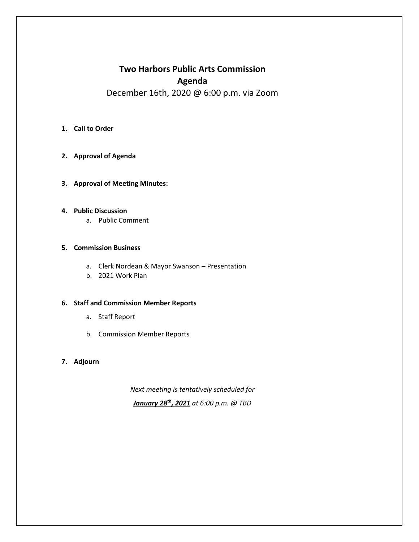# **Two Harbors Public Arts Commission Agenda**  December 16th, 2020 @ 6:00 p.m. via Zoom

#### **1. Call to Order**

- **2. Approval of Agenda**
- **3. Approval of Meeting Minutes:**

#### **4. Public Discussion**

a. Public Comment

## **5. Commission Business**

- a. Clerk Nordean & Mayor Swanson Presentation
- b. 2021 Work Plan

#### **6. Staff and Commission Member Reports**

- a. Staff Report
- b. Commission Member Reports

## **7. Adjourn**

*Next meeting is tentatively scheduled for January 28th, 2021 at 6:00 p.m. @ TBD*